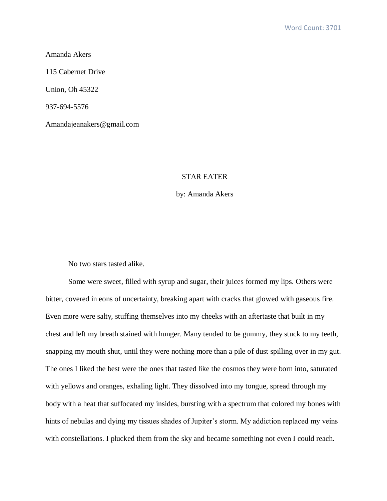Amanda Akers

115 Cabernet Drive

Union, Oh 45322

937-694-5576

Amandajeanakers@gmail.com

## STAR EATER

## by: Amanda Akers

No two stars tasted alike.

Some were sweet, filled with syrup and sugar, their juices formed my lips. Others were bitter, covered in eons of uncertainty, breaking apart with cracks that glowed with gaseous fire. Even more were salty, stuffing themselves into my cheeks with an aftertaste that built in my chest and left my breath stained with hunger. Many tended to be gummy, they stuck to my teeth, snapping my mouth shut, until they were nothing more than a pile of dust spilling over in my gut. The ones I liked the best were the ones that tasted like the cosmos they were born into, saturated with yellows and oranges, exhaling light. They dissolved into my tongue, spread through my body with a heat that suffocated my insides, bursting with a spectrum that colored my bones with hints of nebulas and dying my tissues shades of Jupiter's storm. My addiction replaced my veins with constellations. I plucked them from the sky and became something not even I could reach.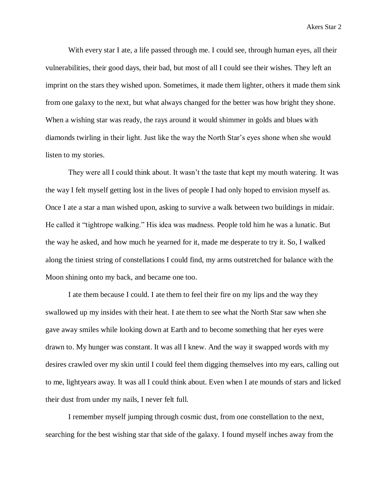With every star I ate, a life passed through me. I could see, through human eyes, all their vulnerabilities, their good days, their bad, but most of all I could see their wishes. They left an imprint on the stars they wished upon. Sometimes, it made them lighter, others it made them sink from one galaxy to the next, but what always changed for the better was how bright they shone. When a wishing star was ready, the rays around it would shimmer in golds and blues with diamonds twirling in their light. Just like the way the North Star's eyes shone when she would listen to my stories.

They were all I could think about. It wasn't the taste that kept my mouth watering. It was the way I felt myself getting lost in the lives of people I had only hoped to envision myself as. Once I ate a star a man wished upon, asking to survive a walk between two buildings in midair. He called it "tightrope walking." His idea was madness. People told him he was a lunatic. But the way he asked, and how much he yearned for it, made me desperate to try it. So, I walked along the tiniest string of constellations I could find, my arms outstretched for balance with the Moon shining onto my back, and became one too.

I ate them because I could. I ate them to feel their fire on my lips and the way they swallowed up my insides with their heat. I ate them to see what the North Star saw when she gave away smiles while looking down at Earth and to become something that her eyes were drawn to. My hunger was constant. It was all I knew. And the way it swapped words with my desires crawled over my skin until I could feel them digging themselves into my ears, calling out to me, lightyears away. It was all I could think about. Even when I ate mounds of stars and licked their dust from under my nails, I never felt full.

I remember myself jumping through cosmic dust, from one constellation to the next, searching for the best wishing star that side of the galaxy. I found myself inches away from the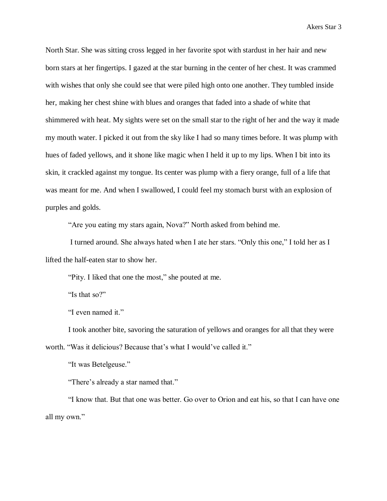North Star. She was sitting cross legged in her favorite spot with stardust in her hair and new born stars at her fingertips. I gazed at the star burning in the center of her chest. It was crammed with wishes that only she could see that were piled high onto one another. They tumbled inside her, making her chest shine with blues and oranges that faded into a shade of white that shimmered with heat. My sights were set on the small star to the right of her and the way it made my mouth water. I picked it out from the sky like I had so many times before. It was plump with hues of faded yellows, and it shone like magic when I held it up to my lips. When I bit into its skin, it crackled against my tongue. Its center was plump with a fiery orange, full of a life that was meant for me. And when I swallowed, I could feel my stomach burst with an explosion of purples and golds.

"Are you eating my stars again, Nova?" North asked from behind me.

I turned around. She always hated when I ate her stars. "Only this one," I told her as I lifted the half-eaten star to show her.

"Pity. I liked that one the most," she pouted at me.

"Is that so?"

"I even named it."

I took another bite, savoring the saturation of yellows and oranges for all that they were worth. "Was it delicious? Because that's what I would've called it."

"It was Betelgeuse."

"There's already a star named that."

"I know that. But that one was better. Go over to Orion and eat his, so that I can have one all my own."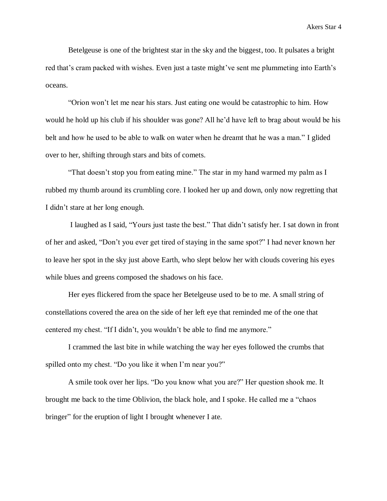Betelgeuse is one of the brightest star in the sky and the biggest, too. It pulsates a bright red that's cram packed with wishes. Even just a taste might've sent me plummeting into Earth's oceans.

"Orion won't let me near his stars. Just eating one would be catastrophic to him. How would he hold up his club if his shoulder was gone? All he'd have left to brag about would be his belt and how he used to be able to walk on water when he dreamt that he was a man." I glided over to her, shifting through stars and bits of comets.

"That doesn't stop you from eating mine." The star in my hand warmed my palm as I rubbed my thumb around its crumbling core. I looked her up and down, only now regretting that I didn't stare at her long enough.

I laughed as I said, "Yours just taste the best." That didn't satisfy her. I sat down in front of her and asked, "Don't you ever get tired of staying in the same spot?" I had never known her to leave her spot in the sky just above Earth, who slept below her with clouds covering his eyes while blues and greens composed the shadows on his face.

Her eyes flickered from the space her Betelgeuse used to be to me. A small string of constellations covered the area on the side of her left eye that reminded me of the one that centered my chest. "If I didn't, you wouldn't be able to find me anymore."

I crammed the last bite in while watching the way her eyes followed the crumbs that spilled onto my chest. "Do you like it when I'm near you?"

A smile took over her lips. "Do you know what you are?" Her question shook me. It brought me back to the time Oblivion, the black hole, and I spoke. He called me a "chaos bringer" for the eruption of light I brought whenever I ate.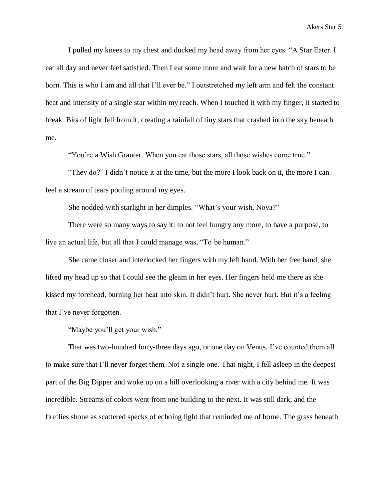I pulled my knees to my chest and ducked my head away from her eyes. "A Star Eater. I eat all day and never feel satisfied. Then I eat some more and wait for a new batch of stars to be born. This is who I am and all that I'll ever be." I outstretched my left arm and felt the constant heat and intensity of a single star within my reach. When I touched it with my finger, it started to break. Bits of light fell from it, creating a rainfall of tiny stars that crashed into the sky beneath me.

"You're a Wish Granter. When you eat those stars, all those wishes come true."

"They do?" I didn't notice it at the time, but the more I look back on it, the more I can feel a stream of tears pooling around my eyes.

She nodded with starlight in her dimples. "What's your wish, Nova?"

There were so many ways to say it: to not feel hungry any more, to have a purpose, to live an actual life, but all that I could manage was, "To be human."

She came closer and interlocked her fingers with my left hand. With her free hand, she lifted my head up so that I could see the gleam in her eyes. Her fingers held me there as she kissed my forehead, burning her heat into skin. It didn't hurt. She never hurt. But it's a feeling that I've never forgotten.

"Maybe you'll get your wish."

That was two-hundred forty-three days ago, or one day on Venus. I've counted them all to make sure that I'll never forget them. Not a single one. That night, I fell asleep in the deepest part of the Big Dipper and woke up on a hill overlooking a river with a city behind me. It was incredible. Streams of colors went from one building to the next. It was still dark, and the fireflies shone as scattered specks of echoing light that reminded me of home. The grass beneath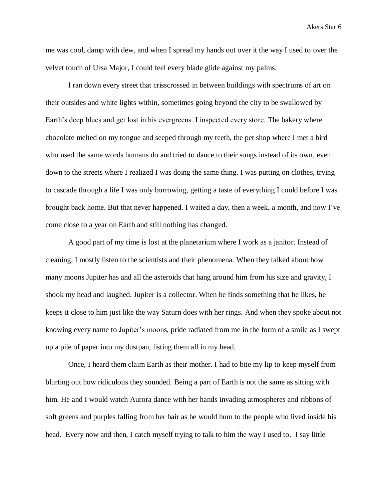me was cool, damp with dew, and when I spread my hands out over it the way I used to over the velvet touch of Ursa Major, I could feel every blade glide against my palms.

I ran down every street that crisscrossed in between buildings with spectrums of art on their outsides and white lights within, sometimes going beyond the city to be swallowed by Earth's deep blues and get lost in his evergreens. I inspected every store. The bakery where chocolate melted on my tongue and seeped through my teeth, the pet shop where I met a bird who used the same words humans do and tried to dance to their songs instead of its own, even down to the streets where I realized I was doing the same thing. I was putting on clothes, trying to cascade through a life I was only borrowing, getting a taste of everything I could before I was brought back home. But that never happened. I waited a day, then a week, a month, and now I've come close to a year on Earth and still nothing has changed.

A good part of my time is lost at the planetarium where I work as a janitor. Instead of cleaning, I mostly listen to the scientists and their phenomena. When they talked about how many moons Jupiter has and all the asteroids that hang around him from his size and gravity, I shook my head and laughed. Jupiter is a collector. When he finds something that he likes, he keeps it close to him just like the way Saturn does with her rings. And when they spoke about not knowing every name to Jupiter's moons, pride radiated from me in the form of a smile as I swept up a pile of paper into my dustpan, listing them all in my head.

Once, I heard them claim Earth as their mother. I had to bite my lip to keep myself from blurting out how ridiculous they sounded. Being a part of Earth is not the same as sitting with him. He and I would watch Aurora dance with her hands invading atmospheres and ribbons of soft greens and purples falling from her hair as he would hum to the people who lived inside his head. Every now and then, I catch myself trying to talk to him the way I used to. I say little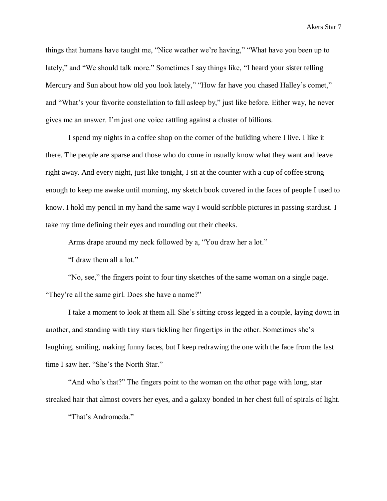things that humans have taught me, "Nice weather we're having," "What have you been up to lately," and "We should talk more." Sometimes I say things like, "I heard your sister telling Mercury and Sun about how old you look lately," "How far have you chased Halley's comet," and "What's your favorite constellation to fall asleep by," just like before. Either way, he never gives me an answer. I'm just one voice rattling against a cluster of billions.

I spend my nights in a coffee shop on the corner of the building where I live. I like it there. The people are sparse and those who do come in usually know what they want and leave right away. And every night, just like tonight, I sit at the counter with a cup of coffee strong enough to keep me awake until morning, my sketch book covered in the faces of people I used to know. I hold my pencil in my hand the same way I would scribble pictures in passing stardust. I take my time defining their eyes and rounding out their cheeks.

Arms drape around my neck followed by a, "You draw her a lot."

"I draw them all a lot."

"No, see," the fingers point to four tiny sketches of the same woman on a single page. "They're all the same girl. Does she have a name?"

I take a moment to look at them all. She's sitting cross legged in a couple, laying down in another, and standing with tiny stars tickling her fingertips in the other. Sometimes she's laughing, smiling, making funny faces, but I keep redrawing the one with the face from the last time I saw her. "She's the North Star."

"And who's that?" The fingers point to the woman on the other page with long, star streaked hair that almost covers her eyes, and a galaxy bonded in her chest full of spirals of light.

"That's Andromeda."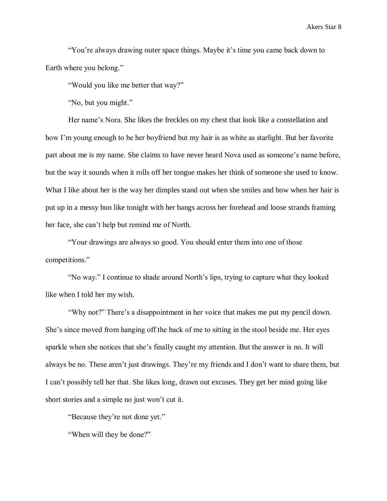"You're always drawing outer space things. Maybe it's time you came back down to Earth where you belong."

"Would you like me better that way?"

"No, but you might."

Her name's Nora. She likes the freckles on my chest that look like a constellation and how I'm young enough to be her boyfriend but my hair is as white as starlight. But her favorite part about me is my name. She claims to have never heard Nova used as someone's name before, but the way it sounds when it rolls off her tongue makes her think of someone she used to know. What I like about her is the way her dimples stand out when she smiles and how when her hair is put up in a messy bun like tonight with her bangs across her forehead and loose strands framing her face, she can't help but remind me of North.

"Your drawings are always so good. You should enter them into one of those competitions."

"No way." I continue to shade around North's lips, trying to capture what they looked like when I told her my wish.

"Why not?" There's a disappointment in her voice that makes me put my pencil down. She's since moved from hanging off the back of me to sitting in the stool beside me. Her eyes sparkle when she notices that she's finally caught my attention. But the answer is no. It will always be no. These aren't just drawings. They're my friends and I don't want to share them, but I can't possibly tell her that. She likes long, drawn out excuses. They get her mind going like short stories and a simple no just won't cut it.

"Because they're not done yet."

"When will they be done?"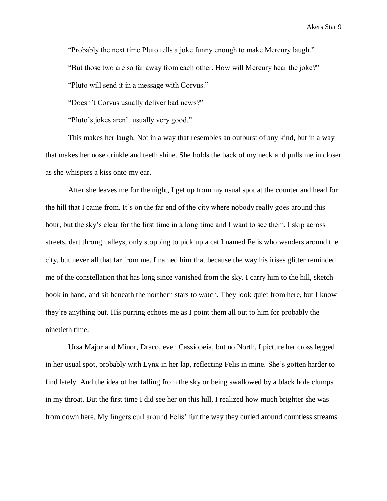"Probably the next time Pluto tells a joke funny enough to make Mercury laugh."

"But those two are so far away from each other. How will Mercury hear the joke?"

"Pluto will send it in a message with Corvus."

"Doesn't Corvus usually deliver bad news?"

"Pluto's jokes aren't usually very good."

This makes her laugh. Not in a way that resembles an outburst of any kind, but in a way that makes her nose crinkle and teeth shine. She holds the back of my neck and pulls me in closer as she whispers a kiss onto my ear.

After she leaves me for the night, I get up from my usual spot at the counter and head for the hill that I came from. It's on the far end of the city where nobody really goes around this hour, but the sky's clear for the first time in a long time and I want to see them. I skip across streets, dart through alleys, only stopping to pick up a cat I named Felis who wanders around the city, but never all that far from me. I named him that because the way his irises glitter reminded me of the constellation that has long since vanished from the sky. I carry him to the hill, sketch book in hand, and sit beneath the northern stars to watch. They look quiet from here, but I know they're anything but. His purring echoes me as I point them all out to him for probably the ninetieth time.

Ursa Major and Minor, Draco, even Cassiopeia, but no North. I picture her cross legged in her usual spot, probably with Lynx in her lap, reflecting Felis in mine. She's gotten harder to find lately. And the idea of her falling from the sky or being swallowed by a black hole clumps in my throat. But the first time I did see her on this hill, I realized how much brighter she was from down here. My fingers curl around Felis' fur the way they curled around countless streams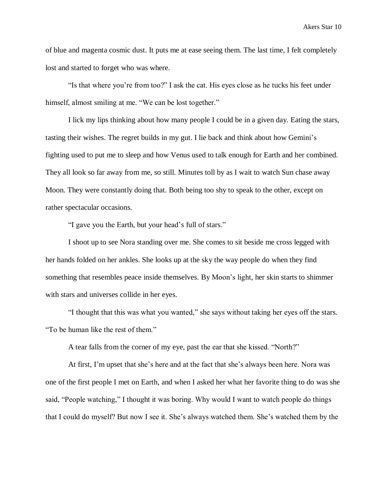of blue and magenta cosmic dust. It puts me at ease seeing them. The last time, I felt completely lost and started to forget who was where.

"Is that where you're from too?" I ask the cat. His eyes close as he tucks his feet under himself, almost smiling at me. "We can be lost together."

I lick my lips thinking about how many people I could be in a given day. Eating the stars, tasting their wishes. The regret builds in my gut. I lie back and think about how Gemini's fighting used to put me to sleep and how Venus used to talk enough for Earth and her combined. They all look so far away from me, so still. Minutes toll by as I wait to watch Sun chase away Moon. They were constantly doing that. Both being too shy to speak to the other, except on rather spectacular occasions.

"I gave you the Earth, but your head's full of stars."

I shoot up to see Nora standing over me. She comes to sit beside me cross legged with her hands folded on her ankles. She looks up at the sky the way people do when they find something that resembles peace inside themselves. By Moon's light, her skin starts to shimmer with stars and universes collide in her eyes.

"I thought that this was what you wanted," she says without taking her eyes off the stars. "To be human like the rest of them."

A tear falls from the corner of my eye, past the ear that she kissed. "North?"

At first, I'm upset that she's here and at the fact that she's always been here. Nora was one of the first people I met on Earth, and when I asked her what her favorite thing to do was she said, "People watching," I thought it was boring. Why would I want to watch people do things that I could do myself? But now I see it. She's always watched them. She's watched them by the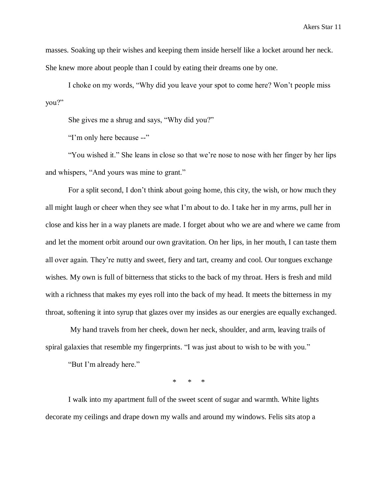masses. Soaking up their wishes and keeping them inside herself like a locket around her neck. She knew more about people than I could by eating their dreams one by one.

I choke on my words, "Why did you leave your spot to come here? Won't people miss you?"

She gives me a shrug and says, "Why did you?"

"I'm only here because --"

"You wished it." She leans in close so that we're nose to nose with her finger by her lips and whispers, "And yours was mine to grant."

For a split second, I don't think about going home, this city, the wish, or how much they all might laugh or cheer when they see what I'm about to do. I take her in my arms, pull her in close and kiss her in a way planets are made. I forget about who we are and where we came from and let the moment orbit around our own gravitation. On her lips, in her mouth, I can taste them all over again. They're nutty and sweet, fiery and tart, creamy and cool. Our tongues exchange wishes. My own is full of bitterness that sticks to the back of my throat. Hers is fresh and mild with a richness that makes my eyes roll into the back of my head. It meets the bitterness in my throat, softening it into syrup that glazes over my insides as our energies are equally exchanged.

My hand travels from her cheek, down her neck, shoulder, and arm, leaving trails of spiral galaxies that resemble my fingerprints. "I was just about to wish to be with you."

"But I'm already here."

\* \* \*

I walk into my apartment full of the sweet scent of sugar and warmth. White lights decorate my ceilings and drape down my walls and around my windows. Felis sits atop a